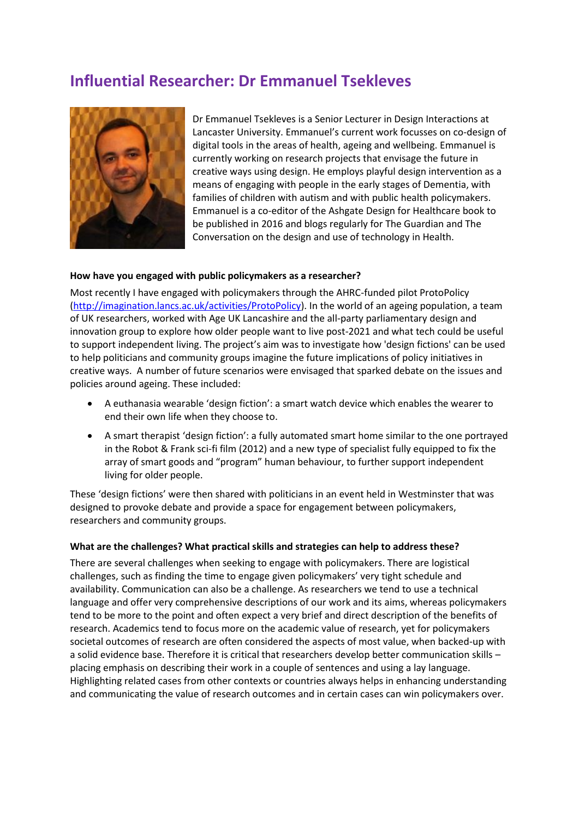# **Influential Researcher: Dr Emmanuel Tsekleves**



Dr Emmanuel Tsekleves is a Senior Lecturer in Design Interactions at Lancaster University. Emmanuel's current work focusses on co-design of digital tools in the areas of health, ageing and wellbeing. Emmanuel is currently working on research projects that envisage the future in creative ways using design. He employs playful design intervention as a means of engaging with people in the early stages of Dementia, with families of children with autism and with public health policymakers. Emmanuel is a co-editor of the Ashgate Design for Healthcare book to be published in 2016 and blogs regularly for The Guardian and The Conversation on the design and use of technology in Health.

#### **How have you engaged with public policymakers as a researcher?**

Most recently I have engaged with policymakers through the AHRC-funded pilot ProtoPolicy [\(http://imagination.lancs.ac.uk/activities/ProtoPolicy\)](http://imagination.lancs.ac.uk/activities/ProtoPolicy). In the world of an ageing population, a team of UK researchers, worked with Age UK Lancashire and the all-party parliamentary design and innovation group to explore how older people want to live post-2021 and what tech could be useful to support independent living. The project's aim was to investigate how 'design fictions' can be used to help politicians and community groups imagine the future implications of policy initiatives in creative ways. A number of future scenarios were envisaged that sparked debate on the issues and policies around ageing. These included:

- A euthanasia wearable 'design fiction': a smart watch device which enables the wearer to end their own life when they choose to.
- A smart therapist 'design fiction': a fully automated smart home similar to the one portrayed in the Robot & Frank sci-fi film (2012) and a new type of specialist fully equipped to fix the array of smart goods and "program" human behaviour, to further support independent living for older people.

These 'design fictions' were then shared with politicians in an event held in Westminster that was designed to provoke debate and provide a space for engagement between policymakers, researchers and community groups.

#### **What are the challenges? What practical skills and strategies can help to address these?**

There are several challenges when seeking to engage with policymakers. There are logistical challenges, such as finding the time to engage given policymakers' very tight schedule and availability. Communication can also be a challenge. As researchers we tend to use a technical language and offer very comprehensive descriptions of our work and its aims, whereas policymakers tend to be more to the point and often expect a very brief and direct description of the benefits of research. Academics tend to focus more on the academic value of research, yet for policymakers societal outcomes of research are often considered the aspects of most value, when backed-up with a solid evidence base. Therefore it is critical that researchers develop better communication skills – placing emphasis on describing their work in a couple of sentences and using a lay language. Highlighting related cases from other contexts or countries always helps in enhancing understanding and communicating the value of research outcomes and in certain cases can win policymakers over.